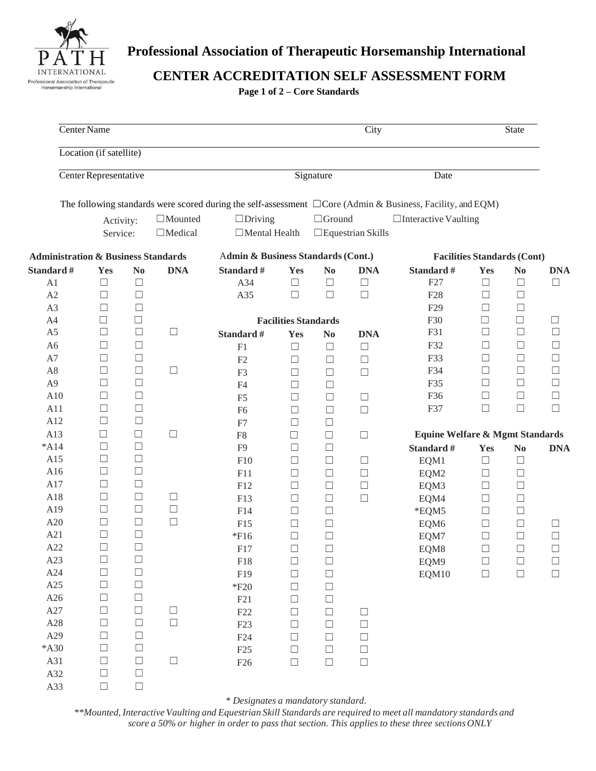

# **Professional Association of Therapeutic Horsemanship International**

**CENTER ACCREDITATION SELF ASSESSMENT FORM**

**Page 1 of 2 – Core Standards**

|                | Center Name                                    |                  |                |                                    |                             |                  | City                     |                                                                                                                  |                                    | State            |                  |
|----------------|------------------------------------------------|------------------|----------------|------------------------------------|-----------------------------|------------------|--------------------------|------------------------------------------------------------------------------------------------------------------|------------------------------------|------------------|------------------|
|                | Location (if satellite)                        |                  |                |                                    |                             |                  |                          |                                                                                                                  |                                    |                  |                  |
|                | Center Representative                          |                  |                |                                    | Signature                   |                  |                          | Date                                                                                                             |                                    |                  |                  |
|                |                                                |                  |                |                                    |                             |                  |                          | The following standards were scored during the self-assessment $\Box$ Core (Admin & Business, Facility, and EQM) |                                    |                  |                  |
|                | Activity:                                      |                  | $\Box$ Mounted | $\Box$ Driving                     |                             | $\Box$ Ground    |                          | $\Box$ Interactive Vaulting                                                                                      |                                    |                  |                  |
|                | Service:                                       |                  | $\Box$ Medical | $\Box$ Mental Health               |                             |                  | $\Box$ Equestrian Skills |                                                                                                                  |                                    |                  |                  |
|                | <b>Administration &amp; Business Standards</b> |                  |                | Admin & Business Standards (Cont.) |                             |                  |                          |                                                                                                                  | <b>Facilities Standards (Cont)</b> |                  |                  |
| Standard #     | Yes                                            | $\bf No$         | <b>DNA</b>     | Standard #                         | Yes                         | $\bf No$         | <b>DNA</b>               | Standard #                                                                                                       | Yes                                | $\bf No$         | <b>DNA</b>       |
| A1             | $\Box$                                         | $\Box$           |                | A34                                | $\Box$                      | $\Box$           | $\Box$                   | F27                                                                                                              | $\Box$                             | $\Box$           | $\Box$           |
| A2             | $\Box$                                         | $\Box$           |                | A35                                | $\Box$                      | $\Box$           | $\Box$                   | F <sub>28</sub>                                                                                                  | $\Box$                             | $\Box$           |                  |
| A3             | □                                              | $\Box$           |                |                                    |                             |                  |                          | F <sub>29</sub>                                                                                                  | $\Box$                             | $\Box$           |                  |
| A4             | $\Box$                                         | □                |                |                                    | <b>Facilities Standards</b> |                  |                          | F30                                                                                                              | $\Box$                             | $\Box$           | $\Box$           |
| A <sub>5</sub> | $\Box$                                         | $\Box$           | $\Box$         | Standard #                         | Yes                         | N <sub>0</sub>   | <b>DNA</b>               | F31                                                                                                              | $\Box$                             | $\Box$           | $\Box$           |
| A <sub>6</sub> | □                                              | $\Box$           |                | F1                                 | $\Box$                      | $\Box$           | $\Box$                   | F32                                                                                                              | $\Box$                             | $\Box$           | $\Box$           |
| A7             | $\Box$                                         | $\Box$           |                | F2                                 | $\Box$                      | $\Box$           | $\Box$                   | F33                                                                                                              | $\Box$                             | $\Box$           | $\Box$           |
| A8             | $\Box$                                         | $\Box$           | $\Box$         | F <sub>3</sub>                     | $\Box$                      | $\Box$           | $\Box$                   | F34                                                                                                              | $\Box$                             | $\Box$           | $\Box$           |
| A <sub>9</sub> | Ш                                              | $\Box$           |                | F4                                 | $\Box$                      | $\Box$           |                          | F35                                                                                                              | $\Box$                             | $\Box$           | $\Box$           |
| A10            | $\Box$                                         | $\Box$           |                | F <sub>5</sub>                     | $\Box$                      | $\Box$           | $\Box$                   | F36                                                                                                              | $\Box$                             | $\Box$           | $\Box$           |
| A11            | $\Box$                                         | $\Box$           |                | F <sub>6</sub>                     | $\Box$                      | $\Box$           | $\Box$                   | F37                                                                                                              | $\Box$                             | $\Box$           | $\Box$           |
| A12            | $\Box$                                         | $\Box$           |                | F7                                 | $\Box$                      | $\Box$           |                          |                                                                                                                  |                                    |                  |                  |
| A13            | $\Box$                                         | $\Box$           | $\Box$         | F <sub>8</sub>                     | $\Box$                      | $\Box$           | $\Box$                   | <b>Equine Welfare &amp; Mgmt Standards</b>                                                                       |                                    |                  |                  |
| $*A14$         | Ш                                              | $\Box$           |                | F <sub>9</sub>                     | □                           | $\Box$           |                          | Standard #                                                                                                       | Yes                                | No               | <b>DNA</b>       |
| A15            | ш                                              | $\Box$           |                | F10                                | □                           | $\Box$           | $\Box$                   | EQM1                                                                                                             | $\Box$                             | $\Box$           |                  |
| A16            | $\Box$                                         | $\Box$           |                | F11                                | □                           | $\Box$           | $\Box$                   | EQM2                                                                                                             | $\Box$                             | $\Box$           |                  |
| A17            | $\Box$                                         | $\Box$           |                | F12                                | $\Box$                      | $\Box$           | $\Box$                   | EQM3                                                                                                             | $\Box$                             | $\Box$           |                  |
| A18            | $\Box$                                         | $\Box$           | $\Box$         | F13                                | $\Box$                      | $\Box$           | $\Box$                   | EQM4                                                                                                             | $\Box$                             | $\Box$           |                  |
| A19            | $\Box$                                         | $\Box$           | $\Box$         | F14                                | □                           | $\Box$           |                          | *EQM5                                                                                                            | $\Box$                             | $\Box$           |                  |
| A20            | $\Box$                                         | $\Box$           | $\Box$         |                                    | $\Box$                      | $\Box$           |                          |                                                                                                                  | $\Box$                             |                  |                  |
| A21            | $\Box$                                         | $\Box$           |                | F15<br>$*F16$                      | $\Box$                      | $\Box$           |                          | EQM6                                                                                                             | $\Box$                             | $\Box$<br>$\Box$ | $\Box$<br>$\Box$ |
| A22            | $\Box$                                         | $\Box$           |                |                                    |                             |                  |                          | EQM7                                                                                                             |                                    |                  |                  |
| A23            | $\Box$                                         | $\Box$           |                | F17                                | $\Box$<br>$\Box$            | $\Box$           |                          | EQM8                                                                                                             | $\Box$                             | $\Box$           | $\Box$           |
| A24            | $\hfill \square$                               | $\Box$           |                | F18                                | $\Box$                      | $\Box$           |                          | EQM9                                                                                                             | $\Box$                             | $\Box$           | $\Box$<br>$\Box$ |
| A25            | $\Box$                                         | $\Box$           |                | F19                                |                             | $\Box$           |                          | EQM10                                                                                                            | $\Box$                             | $\Box$           |                  |
| A26            | $\Box$                                         | $\Box$           |                | $*F20$                             | $\Box$                      | $\Box$<br>$\Box$ |                          |                                                                                                                  |                                    |                  |                  |
| A27            | $\Box$                                         | $\Box$           | $\Box$         | F21                                | □                           |                  |                          |                                                                                                                  |                                    |                  |                  |
| A28            | $\Box$                                         | $\Box$           | $\Box$         | F22                                | $\Box$                      | $\Box$<br>$\Box$ | $\Box$                   |                                                                                                                  |                                    |                  |                  |
| A29            | $\Box$                                         | $\Box$           |                | F <sub>23</sub>                    | $\Box$                      |                  | $\Box$                   |                                                                                                                  |                                    |                  |                  |
| $*$ A30        | $\Box$                                         | $\Box$           |                | F24                                | $\Box$                      | $\Box$           | $\Box$                   |                                                                                                                  |                                    |                  |                  |
| A31            | $\Box$                                         | $\Box$           | $\Box$         | F25                                | $\Box$                      | $\Box$           | $\Box$                   |                                                                                                                  |                                    |                  |                  |
| A32            | $\Box$                                         | $\Box$           |                | F26                                | $\Box$                      | $\Box$           | $\Box$                   |                                                                                                                  |                                    |                  |                  |
|                |                                                | $\hfill \square$ |                |                                    |                             |                  |                          |                                                                                                                  |                                    |                  |                  |
| A33            | $\Box$                                         |                  |                |                                    |                             |                  |                          |                                                                                                                  |                                    |                  |                  |

*\* Designates a mandatory standard.*

*\*\*Mounted, Interactive Vaulting and Equestrian Skill Standards are required to meet all mandatory standards and score a 50% or higher in order to pass that section. This applies to these three sectionsONLY*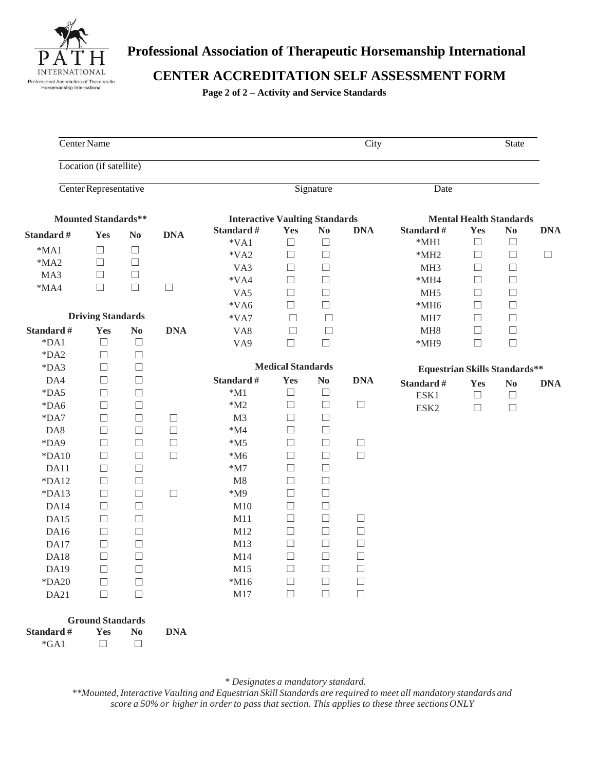

# **Professional Association of Therapeutic Horsemanship International**

### **CENTER ACCREDITATION SELF ASSESSMENT FORM**

**Page 2 of 2 – Activity and Service Standards**

|                                | Center Name                              |                        |            |                                       |                          |        | City             |                                      |                                | <b>State</b>   |            |
|--------------------------------|------------------------------------------|------------------------|------------|---------------------------------------|--------------------------|--------|------------------|--------------------------------------|--------------------------------|----------------|------------|
|                                | Location (if satellite)                  |                        |            |                                       |                          |        |                  |                                      |                                |                |            |
| Center Representative          |                                          |                        |            | Signature<br>Date                     |                          |        |                  |                                      |                                |                |            |
|                                | <b>Mounted Standards**</b>               |                        |            | <b>Interactive Vaulting Standards</b> |                          |        |                  |                                      | <b>Mental Health Standards</b> |                |            |
| Standard #                     | Yes                                      | N <sub>0</sub>         | <b>DNA</b> | Standard #                            | Yes                      | No     | <b>DNA</b>       | Standard #                           | Yes                            | $\bf No$       | <b>DNA</b> |
| $*MA1$                         | □                                        | $\Box$                 |            | $*VA1$                                | $\Box$                   | $\Box$ |                  | $*MH1$                               | $\Box$                         | $\Box$         |            |
| $*MA2$                         | □                                        | $\Box$                 |            | $*VA2$                                | $\Box$                   | $\Box$ |                  | $*MH2$                               | $\Box$                         | $\Box$         | $\Box$     |
| MA3                            | $\Box$                                   | $\Box$                 |            | VA3                                   | $\Box$                   | $\Box$ |                  | MH <sub>3</sub>                      | $\Box$                         | $\Box$         |            |
| $*MA4$                         | $\Box$                                   | $\Box$                 | $\Box$     | $*VA4$                                | $\Box$                   | $\Box$ |                  | $*MH4$                               | □                              | $\Box$         |            |
|                                |                                          |                        |            | VA5                                   | $\Box$                   | $\Box$ |                  | MH <sub>5</sub>                      | $\Box$                         | $\Box$         |            |
|                                |                                          |                        |            | $*VA6$                                | $\Box$                   | $\Box$ |                  | $*MH6$                               | $\Box$                         | $\Box$         |            |
|                                | <b>Driving Standards</b>                 |                        |            | $*VA7$                                | $\Box$                   | $\Box$ |                  | MH7                                  | $\Box$                         | $\Box$         |            |
| Standard #                     | <b>Yes</b>                               | $\mathbf{N}\mathbf{o}$ | <b>DNA</b> | VA8                                   | $\Box$                   | $\Box$ |                  | MH <sub>8</sub>                      | $\Box$                         | $\Box$         |            |
| $*DA1$                         | $\Box$                                   | $\Box$                 |            | VA9                                   | $\Box$                   | $\Box$ |                  | *MH9                                 | $\Box$                         | $\Box$         |            |
| $*DA2$                         | $\Box$                                   | $\Box$                 |            |                                       |                          |        |                  |                                      |                                |                |            |
| $*DA3$                         | $\Box$                                   | $\Box$                 |            |                                       | <b>Medical Standards</b> |        |                  | <b>Equestrian Skills Standards**</b> |                                |                |            |
| DA4                            | $\Box$                                   | $\Box$                 |            | Standard #                            | Yes                      | No     | <b>DNA</b>       | Standard #                           | Yes                            | N <sub>0</sub> | <b>DNA</b> |
| $*DA5$                         | $\Box$                                   | $\Box$                 |            | $*M1$                                 | $\Box$                   | $\Box$ |                  | ESK1                                 | $\Box$                         | $\Box$         |            |
| $*DAG$                         | $\Box$                                   | $\Box$                 |            | $*M2$                                 | $\Box$                   | $\Box$ | $\Box$           | ESK <sub>2</sub>                     | $\Box$                         | $\Box$         |            |
| $*DA7$                         | $\Box$                                   | $\Box$                 | $\Box$     | M <sub>3</sub>                        | $\Box$                   | $\Box$ |                  |                                      |                                |                |            |
| DA8                            | $\Box$                                   | $\Box$                 | $\Box$     | $^*\!{\rm M}4$                        | $\Box$                   | $\Box$ |                  |                                      |                                |                |            |
| *DA9                           | $\Box$                                   | $\Box$                 | $\Box$     | $*M5$                                 | $\Box$                   | $\Box$ | $\Box$           |                                      |                                |                |            |
| $*DA10$                        | $\Box$                                   | $\Box$                 | $\Box$     | $*M6$                                 | $\Box$                   | $\Box$ | $\Box$           |                                      |                                |                |            |
| DA11                           | $\Box$                                   | $\Box$                 |            | $*M7$                                 | $\Box$                   | $\Box$ |                  |                                      |                                |                |            |
| $*DA12$                        | $\Box$                                   | $\Box$                 |            | M8                                    | $\Box$                   | $\Box$ |                  |                                      |                                |                |            |
| $*DA13$                        | $\Box$                                   | $\Box$                 | $\Box$     | $*M9$                                 | $\Box$                   | $\Box$ |                  |                                      |                                |                |            |
| DA14                           | $\Box$                                   | $\Box$                 |            | M10                                   | $\Box$                   | $\Box$ |                  |                                      |                                |                |            |
| DA15                           | $\Box$                                   | $\Box$                 |            | M11                                   | $\Box$                   | $\Box$ | $\Box$           |                                      |                                |                |            |
| DA16                           | $\Box$                                   | $\Box$                 |            | M12                                   | □<br>$\Box$              | $\Box$ | $\Box$<br>$\Box$ |                                      |                                |                |            |
| DA17                           | □                                        | $\Box$                 |            | M13                                   |                          | $\Box$ |                  |                                      |                                |                |            |
| DA18                           | $\Box$                                   | $\Box$                 |            | M14                                   | $\Box$                   | $\Box$ | $\Box$           |                                      |                                |                |            |
| DA19                           | $\Box$                                   | $\Box$                 |            | M15                                   | $\Box$                   | $\Box$ | $\Box$           |                                      |                                |                |            |
| $*DA20$                        | □                                        | Ш                      |            | $^*\mathbf{M}16$                      | $\Box$                   | $\Box$ | $\Box$           |                                      |                                |                |            |
| <b>DA21</b>                    | $\Box$                                   | П                      |            | M17                                   | $\Box$                   | $\Box$ | $\Box$           |                                      |                                |                |            |
| Standard #<br>$\mathrm{^*GAl}$ | <b>Ground Standards</b><br>Yes<br>$\Box$ | $\bf No$<br>$\Box$     | <b>DNA</b> |                                       |                          |        |                  |                                      |                                |                |            |

### *\* Designates a mandatory standard.*

*\*\*Mounted, Interactive Vaulting and Equestrian Skill Standards are required to meet all mandatory standards and score a 50% or higher in order to pass that section. This applies to these three sections ONLY*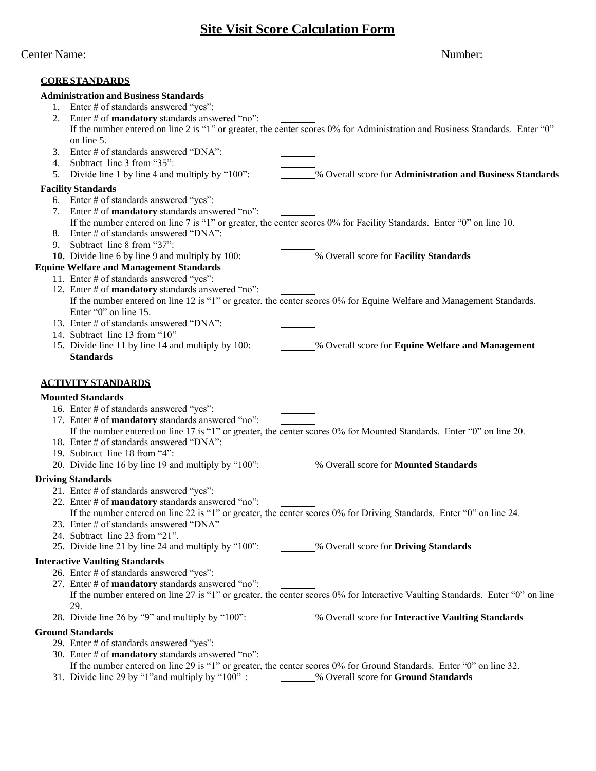## **Site Visit Score Calculation Form**

|    | Center Name: _                                                                                | Number:                                                                                                                        |
|----|-----------------------------------------------------------------------------------------------|--------------------------------------------------------------------------------------------------------------------------------|
|    | <b>CORE STANDARDS</b>                                                                         |                                                                                                                                |
|    | <b>Administration and Business Standards</b>                                                  |                                                                                                                                |
|    | 1. Enter # of standards answered "yes":                                                       |                                                                                                                                |
| 2. | Enter # of mandatory standards answered "no":                                                 |                                                                                                                                |
|    |                                                                                               | If the number entered on line 2 is "1" or greater, the center scores 0% for Administration and Business Standards. Enter "0"   |
|    | on line 5.                                                                                    |                                                                                                                                |
| 3. | Enter # of standards answered "DNA":                                                          |                                                                                                                                |
| 4. | Subtract line 3 from "35":                                                                    |                                                                                                                                |
| 5. | Divide line 1 by line 4 and multiply by "100":                                                | % Overall score for Administration and Business Standards                                                                      |
|    | <b>Facility Standards</b>                                                                     |                                                                                                                                |
|    | 6. Enter # of standards answered "yes":                                                       |                                                                                                                                |
|    | 7. Enter # of <b>mandatory</b> standards answered "no":                                       |                                                                                                                                |
|    |                                                                                               | If the number entered on line 7 is "1" or greater, the center scores 0% for Facility Standards. Enter "0" on line 10.          |
| 8. | Enter # of standards answered "DNA":                                                          |                                                                                                                                |
| 9. | Subtract line 8 from "37":                                                                    |                                                                                                                                |
|    | 10. Divide line 6 by line 9 and multiply by 100:                                              | % Overall score for Facility Standards                                                                                         |
|    | <b>Equine Welfare and Management Standards</b>                                                |                                                                                                                                |
|    | 11. Enter # of standards answered "yes":                                                      |                                                                                                                                |
|    | 12. Enter # of mandatory standards answered "no":                                             |                                                                                                                                |
|    |                                                                                               | If the number entered on line 12 is "1" or greater, the center scores 0% for Equine Welfare and Management Standards.          |
|    | Enter "0" on line 15.                                                                         |                                                                                                                                |
|    | 13. Enter # of standards answered "DNA":                                                      |                                                                                                                                |
|    | 14. Subtract line 13 from "10"                                                                | % Overall score for Equine Welfare and Management                                                                              |
|    | 15. Divide line 11 by line 14 and multiply by 100:<br><b>Standards</b>                        |                                                                                                                                |
|    | <b>Mounted Standards</b>                                                                      |                                                                                                                                |
|    | 16. Enter # of standards answered "yes":<br>17. Enter # of mandatory standards answered "no": | If the number entered on line 17 is "1" or greater, the center scores 0% for Mounted Standards. Enter "0" on line 20.          |
|    | 18. Enter # of standards answered "DNA":                                                      |                                                                                                                                |
|    | 19. Subtract line 18 from "4":                                                                |                                                                                                                                |
|    | 20. Divide line 16 by line 19 and multiply by "100":                                          | % Overall score for Mounted Standards                                                                                          |
|    | <b>Driving Standards</b>                                                                      |                                                                                                                                |
|    | 21. Enter # of standards answered "yes":                                                      |                                                                                                                                |
|    | 22. Enter # of mandatory standards answered "no":                                             |                                                                                                                                |
|    |                                                                                               | If the number entered on line 22 is "1" or greater, the center scores 0% for Driving Standards. Enter "0" on line 24.          |
|    | 23. Enter # of standards answered "DNA"                                                       |                                                                                                                                |
|    | 24. Subtract line 23 from "21".                                                               |                                                                                                                                |
|    | 25. Divide line 21 by line 24 and multiply by "100":                                          | % Overall score for Driving Standards                                                                                          |
|    | <b>Interactive Vaulting Standards</b>                                                         |                                                                                                                                |
|    | 26. Enter # of standards answered "yes":                                                      |                                                                                                                                |
|    | 27. Enter # of mandatory standards answered "no":                                             | If the number entered on line 27 is "1" or greater, the center scores 0% for Interactive Vaulting Standards. Enter "0" on line |
|    | 29.                                                                                           |                                                                                                                                |
|    | 28. Divide line 26 by "9" and multiply by "100":                                              | % Overall score for Interactive Vaulting Standards                                                                             |
|    | <b>Ground Standards</b>                                                                       |                                                                                                                                |
|    | 29. Enter # of standards answered "yes":                                                      |                                                                                                                                |
|    | 30. Enter # of mandatory standards answered "no":                                             | If the number entered on line 29 is "1" or greater, the center scores 0% for Ground Standards. Enter "0" on line 32.           |